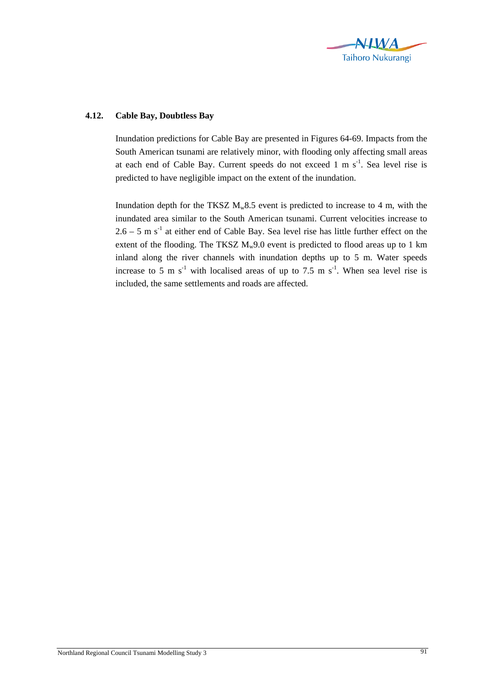

## **4.12. Cable Bay, Doubtless Bay**

Inundation predictions for Cable Bay are presented in Figures 64-69. Impacts from the South American tsunami are relatively minor, with flooding only affecting small areas at each end of Cable Bay. Current speeds do not exceed  $1 \text{ m s}^{-1}$ . Sea level rise is predicted to have negligible impact on the extent of the inundation.

Inundation depth for the TKSZ  $M_w 8.5$  event is predicted to increase to 4 m, with the inundated area similar to the South American tsunami. Current velocities increase to  $2.6 - 5$  m s<sup>-1</sup> at either end of Cable Bay. Sea level rise has little further effect on the extent of the flooding. The TKSZ  $M_w9.0$  event is predicted to flood areas up to 1 km inland along the river channels with inundation depths up to 5 m. Water speeds increase to 5 m s<sup>-1</sup> with localised areas of up to 7.5 m s<sup>-1</sup>. When sea level rise is included, the same settlements and roads are affected.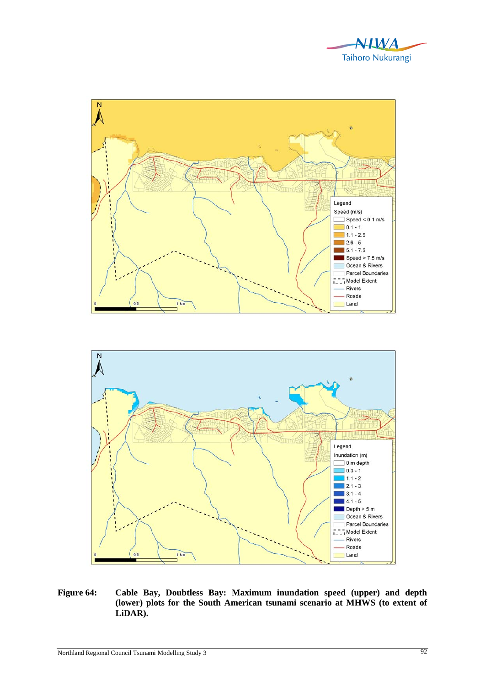





**Figure 64: Cable Bay, Doubtless Bay: Maximum inundation speed (upper) and depth (lower) plots for the South American tsunami scenario at MHWS (to extent of LiDAR).**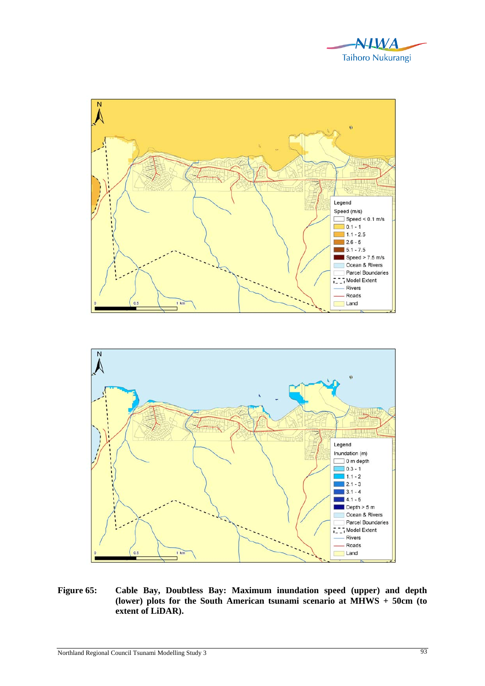





**Figure 65: Cable Bay, Doubtless Bay: Maximum inundation speed (upper) and depth (lower) plots for the South American tsunami scenario at MHWS + 50cm (to extent of LiDAR).**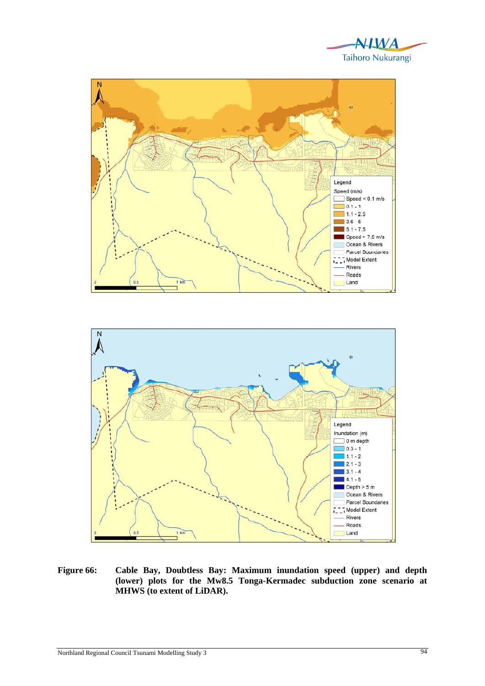





**Figure 66: Cable Bay, Doubtless Bay: Maximum inundation speed (upper) and depth (lower) plots for the Mw8.5 Tonga-Kermadec subduction zone scenario at MHWS (to extent of LiDAR).**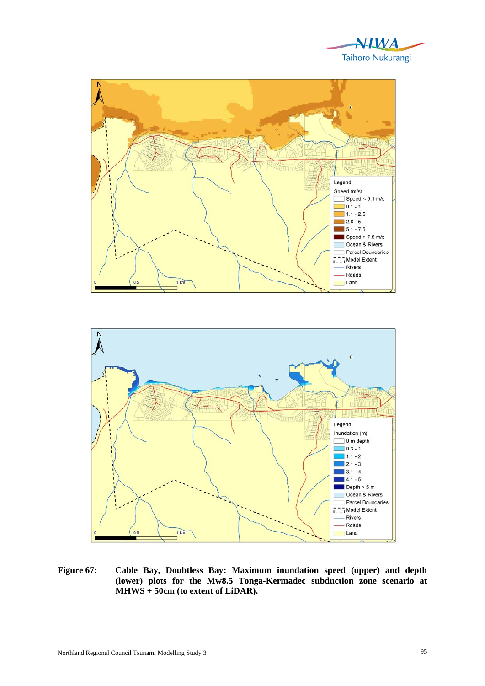





**Figure 67: Cable Bay, Doubtless Bay: Maximum inundation speed (upper) and depth (lower) plots for the Mw8.5 Tonga-Kermadec subduction zone scenario at MHWS + 50cm (to extent of LiDAR).**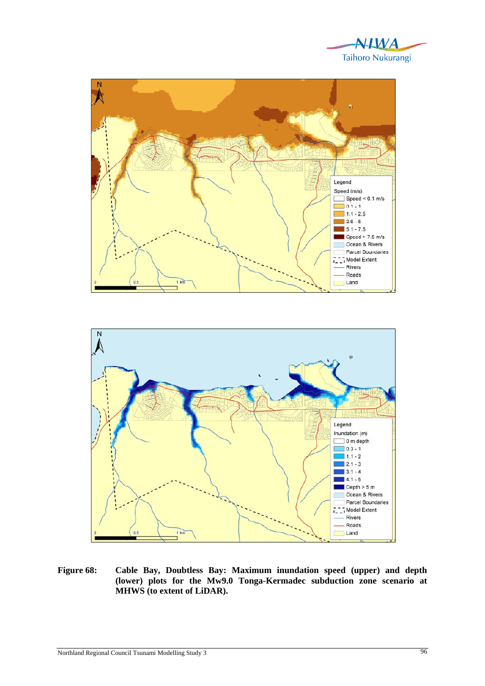





**Figure 68: Cable Bay, Doubtless Bay: Maximum inundation speed (upper) and depth (lower) plots for the Mw9.0 Tonga-Kermadec subduction zone scenario at MHWS (to extent of LiDAR).**